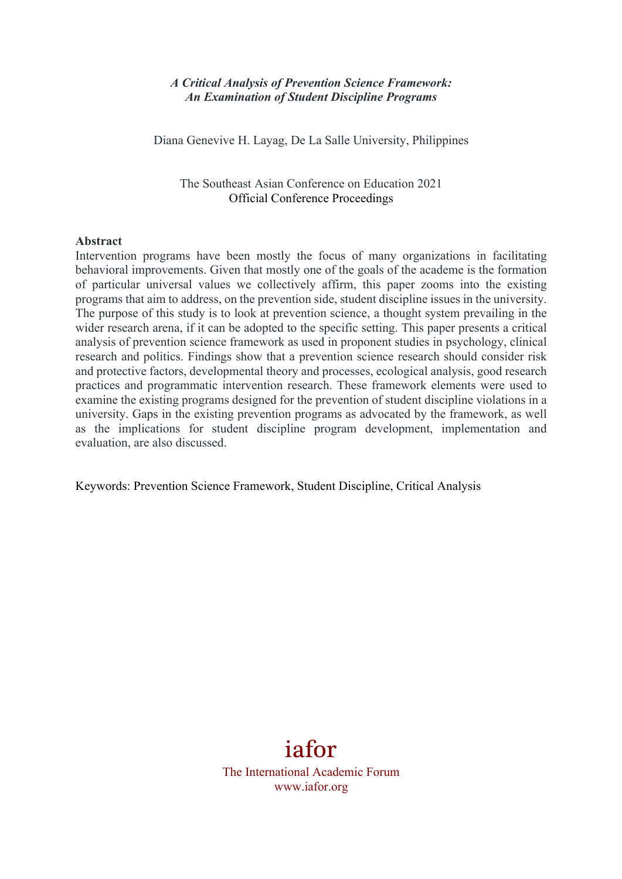#### *A Critical Analysis of Prevention Science Framework: An Examination of Student Discipline Programs*

Diana Genevive H. Layag, De La Salle University, Philippines

The Southeast Asian Conference on Education 2021 Official Conference Proceedings

#### **Abstract**

Intervention programs have been mostly the focus of many organizations in facilitating behavioral improvements. Given that mostly one of the goals of the academe is the formation of particular universal values we collectively affirm, this paper zooms into the existing programs that aim to address, on the prevention side, student discipline issues in the university. The purpose of this study is to look at prevention science, a thought system prevailing in the wider research arena, if it can be adopted to the specific setting. This paper presents a critical analysis of prevention science framework as used in proponent studies in psychology, clinical research and politics. Findings show that a prevention science research should consider risk and protective factors, developmental theory and processes, ecological analysis, good research practices and programmatic intervention research. These framework elements were used to examine the existing programs designed for the prevention of student discipline violations in a university. Gaps in the existing prevention programs as advocated by the framework, as well as the implications for student discipline program development, implementation and evaluation, are also discussed.

Keywords: Prevention Science Framework, Student Discipline, Critical Analysis

# iafor

The International Academic Forum www.iafor.org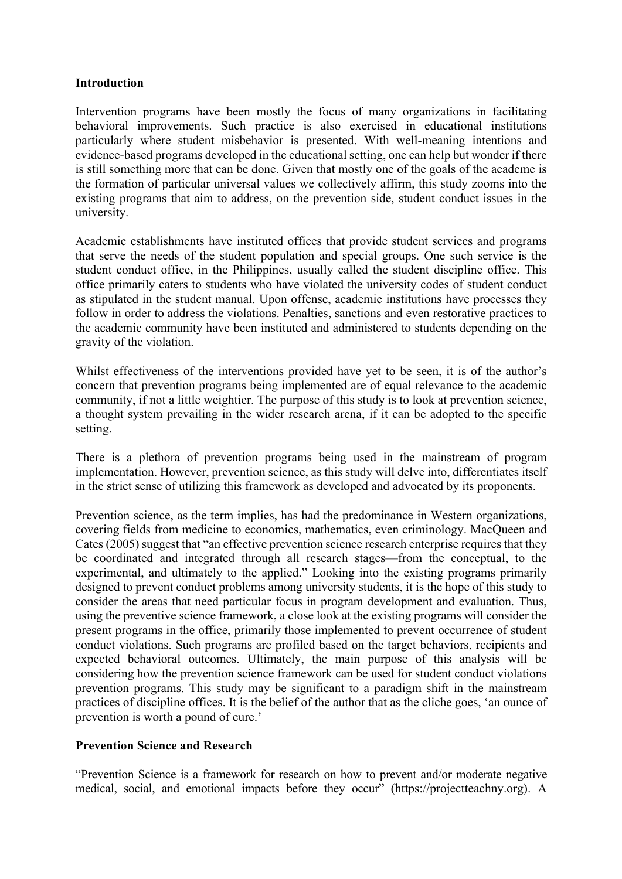#### **Introduction**

Intervention programs have been mostly the focus of many organizations in facilitating behavioral improvements. Such practice is also exercised in educational institutions particularly where student misbehavior is presented. With well-meaning intentions and evidence-based programs developed in the educational setting, one can help but wonder if there is still something more that can be done. Given that mostly one of the goals of the academe is the formation of particular universal values we collectively affirm, this study zooms into the existing programs that aim to address, on the prevention side, student conduct issues in the university.

Academic establishments have instituted offices that provide student services and programs that serve the needs of the student population and special groups. One such service is the student conduct office, in the Philippines, usually called the student discipline office. This office primarily caters to students who have violated the university codes of student conduct as stipulated in the student manual. Upon offense, academic institutions have processes they follow in order to address the violations. Penalties, sanctions and even restorative practices to the academic community have been instituted and administered to students depending on the gravity of the violation.

Whilst effectiveness of the interventions provided have yet to be seen, it is of the author's concern that prevention programs being implemented are of equal relevance to the academic community, if not a little weightier. The purpose of this study is to look at prevention science, a thought system prevailing in the wider research arena, if it can be adopted to the specific setting.

There is a plethora of prevention programs being used in the mainstream of program implementation. However, prevention science, as this study will delve into, differentiates itself in the strict sense of utilizing this framework as developed and advocated by its proponents.

Prevention science, as the term implies, has had the predominance in Western organizations, covering fields from medicine to economics, mathematics, even criminology. MacQueen and Cates (2005) suggest that "an effective prevention science research enterprise requires that they be coordinated and integrated through all research stages—from the conceptual, to the experimental, and ultimately to the applied." Looking into the existing programs primarily designed to prevent conduct problems among university students, it is the hope of this study to consider the areas that need particular focus in program development and evaluation. Thus, using the preventive science framework, a close look at the existing programs will consider the present programs in the office, primarily those implemented to prevent occurrence of student conduct violations. Such programs are profiled based on the target behaviors, recipients and expected behavioral outcomes. Ultimately, the main purpose of this analysis will be considering how the prevention science framework can be used for student conduct violations prevention programs. This study may be significant to a paradigm shift in the mainstream practices of discipline offices. It is the belief of the author that as the cliche goes, 'an ounce of prevention is worth a pound of cure.'

## **Prevention Science and Research**

"Prevention Science is a framework for research on how to prevent and/or moderate negative medical, social, and emotional impacts before they occur" (https://projectteachny.org). A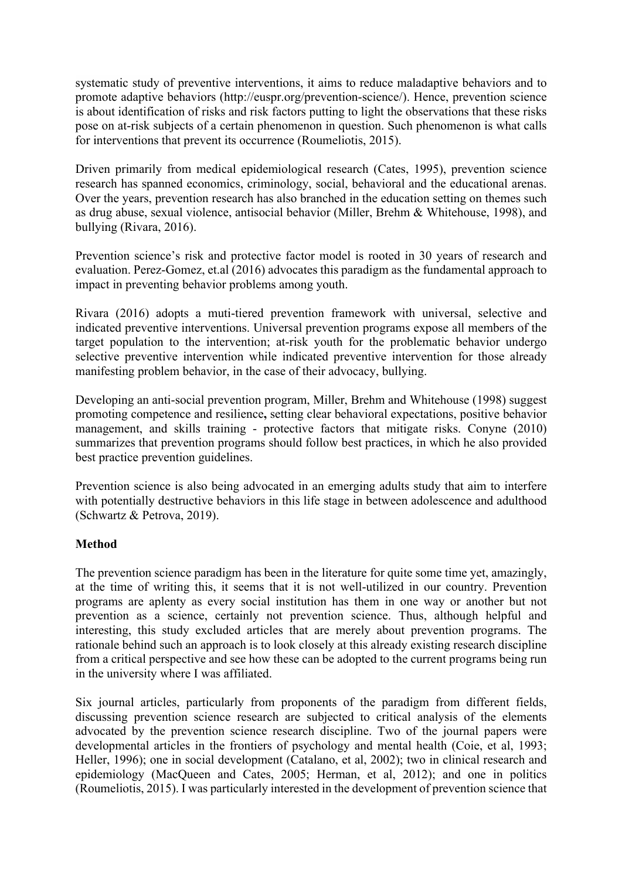systematic study of preventive interventions, it aims to reduce maladaptive behaviors and to promote adaptive behaviors (http://euspr.org/prevention-science/). Hence, prevention science is about identification of risks and risk factors putting to light the observations that these risks pose on at-risk subjects of a certain phenomenon in question. Such phenomenon is what calls for interventions that prevent its occurrence (Roumeliotis, 2015).

Driven primarily from medical epidemiological research (Cates, 1995), prevention science research has spanned economics, criminology, social, behavioral and the educational arenas. Over the years, prevention research has also branched in the education setting on themes such as drug abuse, sexual violence, antisocial behavior (Miller, Brehm & Whitehouse, 1998), and bullying (Rivara, 2016).

Prevention science's risk and protective factor model is rooted in 30 years of research and evaluation. Perez-Gomez, et.al (2016) advocates this paradigm as the fundamental approach to impact in preventing behavior problems among youth.

Rivara (2016) adopts a muti-tiered prevention framework with universal, selective and indicated preventive interventions. Universal prevention programs expose all members of the target population to the intervention; at-risk youth for the problematic behavior undergo selective preventive intervention while indicated preventive intervention for those already manifesting problem behavior, in the case of their advocacy, bullying.

Developing an anti-social prevention program, Miller, Brehm and Whitehouse (1998) suggest promoting competence and resilience**,** setting clear behavioral expectations, positive behavior management, and skills training - protective factors that mitigate risks. Conyne (2010) summarizes that prevention programs should follow best practices, in which he also provided best practice prevention guidelines.

Prevention science is also being advocated in an emerging adults study that aim to interfere with potentially destructive behaviors in this life stage in between adolescence and adulthood (Schwartz & Petrova, 2019).

## **Method**

The prevention science paradigm has been in the literature for quite some time yet, amazingly, at the time of writing this, it seems that it is not well-utilized in our country. Prevention programs are aplenty as every social institution has them in one way or another but not prevention as a science, certainly not prevention science. Thus, although helpful and interesting, this study excluded articles that are merely about prevention programs. The rationale behind such an approach is to look closely at this already existing research discipline from a critical perspective and see how these can be adopted to the current programs being run in the university where I was affiliated.

Six journal articles, particularly from proponents of the paradigm from different fields, discussing prevention science research are subjected to critical analysis of the elements advocated by the prevention science research discipline. Two of the journal papers were developmental articles in the frontiers of psychology and mental health (Coie, et al, 1993; Heller, 1996); one in social development (Catalano, et al, 2002); two in clinical research and epidemiology (MacQueen and Cates, 2005; Herman, et al, 2012); and one in politics (Roumeliotis, 2015). I was particularly interested in the development of prevention science that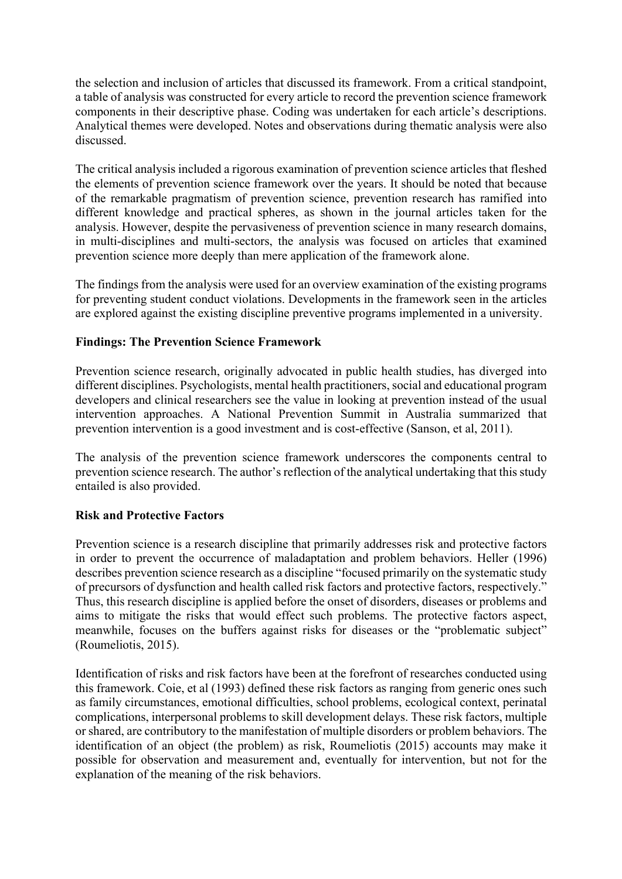the selection and inclusion of articles that discussed its framework. From a critical standpoint, a table of analysis was constructed for every article to record the prevention science framework components in their descriptive phase. Coding was undertaken for each article's descriptions. Analytical themes were developed. Notes and observations during thematic analysis were also discussed.

The critical analysis included a rigorous examination of prevention science articles that fleshed the elements of prevention science framework over the years. It should be noted that because of the remarkable pragmatism of prevention science, prevention research has ramified into different knowledge and practical spheres, as shown in the journal articles taken for the analysis. However, despite the pervasiveness of prevention science in many research domains, in multi-disciplines and multi-sectors, the analysis was focused on articles that examined prevention science more deeply than mere application of the framework alone.

The findings from the analysis were used for an overview examination of the existing programs for preventing student conduct violations. Developments in the framework seen in the articles are explored against the existing discipline preventive programs implemented in a university.

## **Findings: The Prevention Science Framework**

Prevention science research, originally advocated in public health studies, has diverged into different disciplines. Psychologists, mental health practitioners, social and educational program developers and clinical researchers see the value in looking at prevention instead of the usual intervention approaches. A National Prevention Summit in Australia summarized that prevention intervention is a good investment and is cost-effective (Sanson, et al, 2011).

The analysis of the prevention science framework underscores the components central to prevention science research. The author's reflection of the analytical undertaking that this study entailed is also provided.

#### **Risk and Protective Factors**

Prevention science is a research discipline that primarily addresses risk and protective factors in order to prevent the occurrence of maladaptation and problem behaviors. Heller (1996) describes prevention science research as a discipline "focused primarily on the systematic study of precursors of dysfunction and health called risk factors and protective factors, respectively." Thus, this research discipline is applied before the onset of disorders, diseases or problems and aims to mitigate the risks that would effect such problems. The protective factors aspect, meanwhile, focuses on the buffers against risks for diseases or the "problematic subject" (Roumeliotis, 2015).

Identification of risks and risk factors have been at the forefront of researches conducted using this framework. Coie, et al (1993) defined these risk factors as ranging from generic ones such as family circumstances, emotional difficulties, school problems, ecological context, perinatal complications, interpersonal problems to skill development delays. These risk factors, multiple or shared, are contributory to the manifestation of multiple disorders or problem behaviors. The identification of an object (the problem) as risk, Roumeliotis (2015) accounts may make it possible for observation and measurement and, eventually for intervention, but not for the explanation of the meaning of the risk behaviors.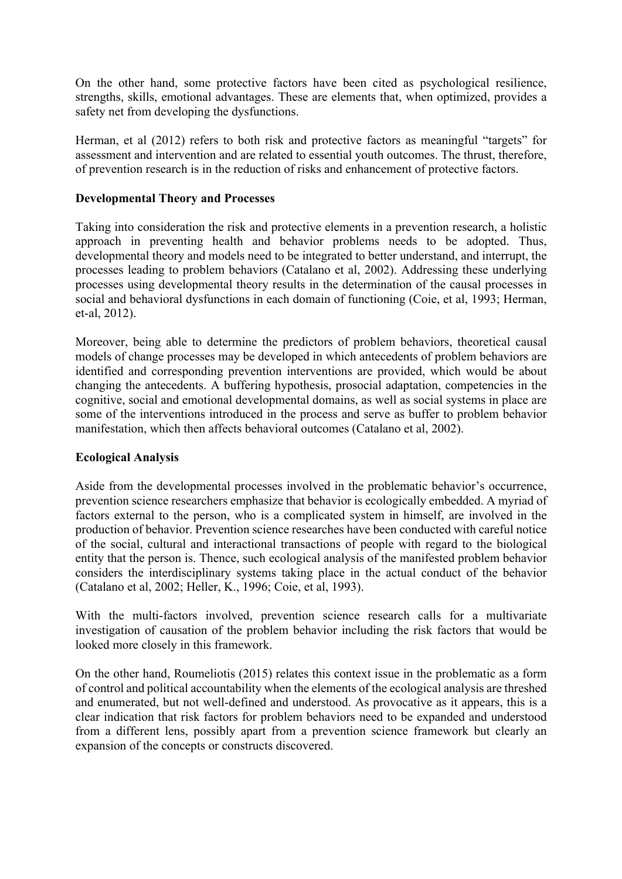On the other hand, some protective factors have been cited as psychological resilience, strengths, skills, emotional advantages. These are elements that, when optimized, provides a safety net from developing the dysfunctions.

Herman, et al (2012) refers to both risk and protective factors as meaningful "targets" for assessment and intervention and are related to essential youth outcomes. The thrust, therefore, of prevention research is in the reduction of risks and enhancement of protective factors.

#### **Developmental Theory and Processes**

Taking into consideration the risk and protective elements in a prevention research, a holistic approach in preventing health and behavior problems needs to be adopted. Thus, developmental theory and models need to be integrated to better understand, and interrupt, the processes leading to problem behaviors (Catalano et al, 2002). Addressing these underlying processes using developmental theory results in the determination of the causal processes in social and behavioral dysfunctions in each domain of functioning (Coie, et al, 1993; Herman, et-al, 2012).

Moreover, being able to determine the predictors of problem behaviors, theoretical causal models of change processes may be developed in which antecedents of problem behaviors are identified and corresponding prevention interventions are provided, which would be about changing the antecedents. A buffering hypothesis, prosocial adaptation, competencies in the cognitive, social and emotional developmental domains, as well as social systems in place are some of the interventions introduced in the process and serve as buffer to problem behavior manifestation, which then affects behavioral outcomes (Catalano et al, 2002).

## **Ecological Analysis**

Aside from the developmental processes involved in the problematic behavior's occurrence, prevention science researchers emphasize that behavior is ecologically embedded. A myriad of factors external to the person, who is a complicated system in himself, are involved in the production of behavior. Prevention science researches have been conducted with careful notice of the social, cultural and interactional transactions of people with regard to the biological entity that the person is. Thence, such ecological analysis of the manifested problem behavior considers the interdisciplinary systems taking place in the actual conduct of the behavior (Catalano et al, 2002; Heller, K., 1996; Coie, et al, 1993).

With the multi-factors involved, prevention science research calls for a multivariate investigation of causation of the problem behavior including the risk factors that would be looked more closely in this framework.

On the other hand, Roumeliotis (2015) relates this context issue in the problematic as a form of control and political accountability when the elements of the ecological analysis are threshed and enumerated, but not well-defined and understood. As provocative as it appears, this is a clear indication that risk factors for problem behaviors need to be expanded and understood from a different lens, possibly apart from a prevention science framework but clearly an expansion of the concepts or constructs discovered.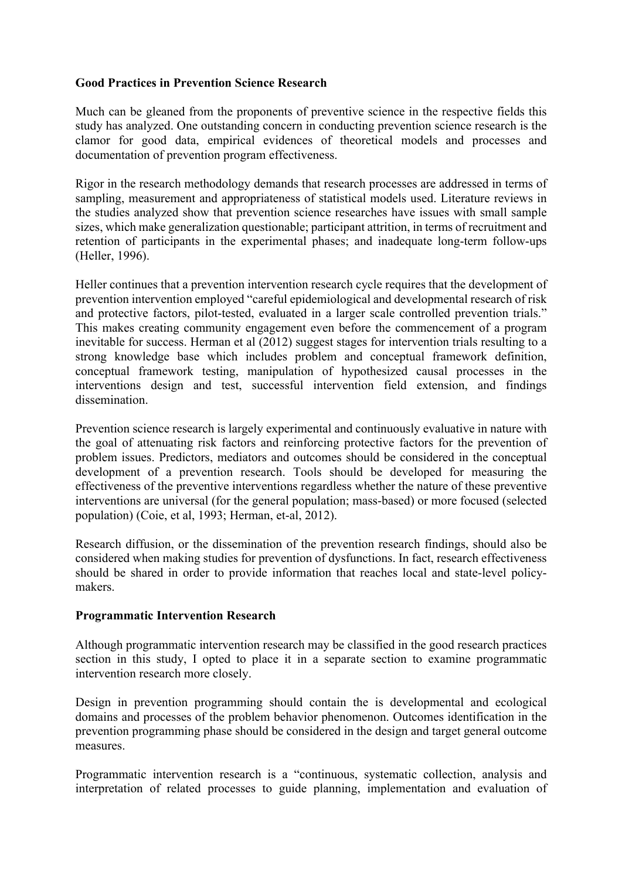#### **Good Practices in Prevention Science Research**

Much can be gleaned from the proponents of preventive science in the respective fields this study has analyzed. One outstanding concern in conducting prevention science research is the clamor for good data, empirical evidences of theoretical models and processes and documentation of prevention program effectiveness.

Rigor in the research methodology demands that research processes are addressed in terms of sampling, measurement and appropriateness of statistical models used. Literature reviews in the studies analyzed show that prevention science researches have issues with small sample sizes, which make generalization questionable; participant attrition, in terms of recruitment and retention of participants in the experimental phases; and inadequate long-term follow-ups (Heller, 1996).

Heller continues that a prevention intervention research cycle requires that the development of prevention intervention employed "careful epidemiological and developmental research of risk and protective factors, pilot-tested, evaluated in a larger scale controlled prevention trials." This makes creating community engagement even before the commencement of a program inevitable for success. Herman et al (2012) suggest stages for intervention trials resulting to a strong knowledge base which includes problem and conceptual framework definition, conceptual framework testing, manipulation of hypothesized causal processes in the interventions design and test, successful intervention field extension, and findings dissemination.

Prevention science research is largely experimental and continuously evaluative in nature with the goal of attenuating risk factors and reinforcing protective factors for the prevention of problem issues. Predictors, mediators and outcomes should be considered in the conceptual development of a prevention research. Tools should be developed for measuring the effectiveness of the preventive interventions regardless whether the nature of these preventive interventions are universal (for the general population; mass-based) or more focused (selected population) (Coie, et al, 1993; Herman, et-al, 2012).

Research diffusion, or the dissemination of the prevention research findings, should also be considered when making studies for prevention of dysfunctions. In fact, research effectiveness should be shared in order to provide information that reaches local and state-level policymakers.

#### **Programmatic Intervention Research**

Although programmatic intervention research may be classified in the good research practices section in this study, I opted to place it in a separate section to examine programmatic intervention research more closely.

Design in prevention programming should contain the is developmental and ecological domains and processes of the problem behavior phenomenon. Outcomes identification in the prevention programming phase should be considered in the design and target general outcome measures.

Programmatic intervention research is a "continuous, systematic collection, analysis and interpretation of related processes to guide planning, implementation and evaluation of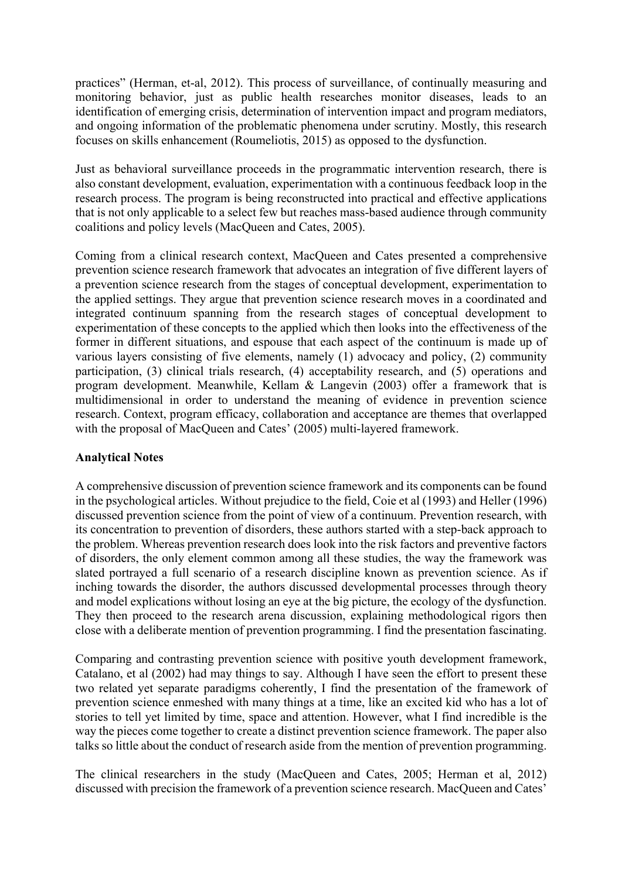practices" (Herman, et-al, 2012). This process of surveillance, of continually measuring and monitoring behavior, just as public health researches monitor diseases, leads to an identification of emerging crisis, determination of intervention impact and program mediators, and ongoing information of the problematic phenomena under scrutiny. Mostly, this research focuses on skills enhancement (Roumeliotis, 2015) as opposed to the dysfunction.

Just as behavioral surveillance proceeds in the programmatic intervention research, there is also constant development, evaluation, experimentation with a continuous feedback loop in the research process. The program is being reconstructed into practical and effective applications that is not only applicable to a select few but reaches mass-based audience through community coalitions and policy levels (MacQueen and Cates, 2005).

Coming from a clinical research context, MacQueen and Cates presented a comprehensive prevention science research framework that advocates an integration of five different layers of a prevention science research from the stages of conceptual development, experimentation to the applied settings. They argue that prevention science research moves in a coordinated and integrated continuum spanning from the research stages of conceptual development to experimentation of these concepts to the applied which then looks into the effectiveness of the former in different situations, and espouse that each aspect of the continuum is made up of various layers consisting of five elements, namely (1) advocacy and policy, (2) community participation, (3) clinical trials research, (4) acceptability research, and (5) operations and program development. Meanwhile, Kellam & Langevin (2003) offer a framework that is multidimensional in order to understand the meaning of evidence in prevention science research. Context, program efficacy, collaboration and acceptance are themes that overlapped with the proposal of MacQueen and Cates' (2005) multi-layered framework.

## **Analytical Notes**

A comprehensive discussion of prevention science framework and its components can be found in the psychological articles. Without prejudice to the field, Coie et al (1993) and Heller (1996) discussed prevention science from the point of view of a continuum. Prevention research, with its concentration to prevention of disorders, these authors started with a step-back approach to the problem. Whereas prevention research does look into the risk factors and preventive factors of disorders, the only element common among all these studies, the way the framework was slated portrayed a full scenario of a research discipline known as prevention science. As if inching towards the disorder, the authors discussed developmental processes through theory and model explications without losing an eye at the big picture, the ecology of the dysfunction. They then proceed to the research arena discussion, explaining methodological rigors then close with a deliberate mention of prevention programming. I find the presentation fascinating.

Comparing and contrasting prevention science with positive youth development framework, Catalano, et al (2002) had may things to say. Although I have seen the effort to present these two related yet separate paradigms coherently, I find the presentation of the framework of prevention science enmeshed with many things at a time, like an excited kid who has a lot of stories to tell yet limited by time, space and attention. However, what I find incredible is the way the pieces come together to create a distinct prevention science framework. The paper also talks so little about the conduct of research aside from the mention of prevention programming.

The clinical researchers in the study (MacQueen and Cates, 2005; Herman et al, 2012) discussed with precision the framework of a prevention science research. MacQueen and Cates'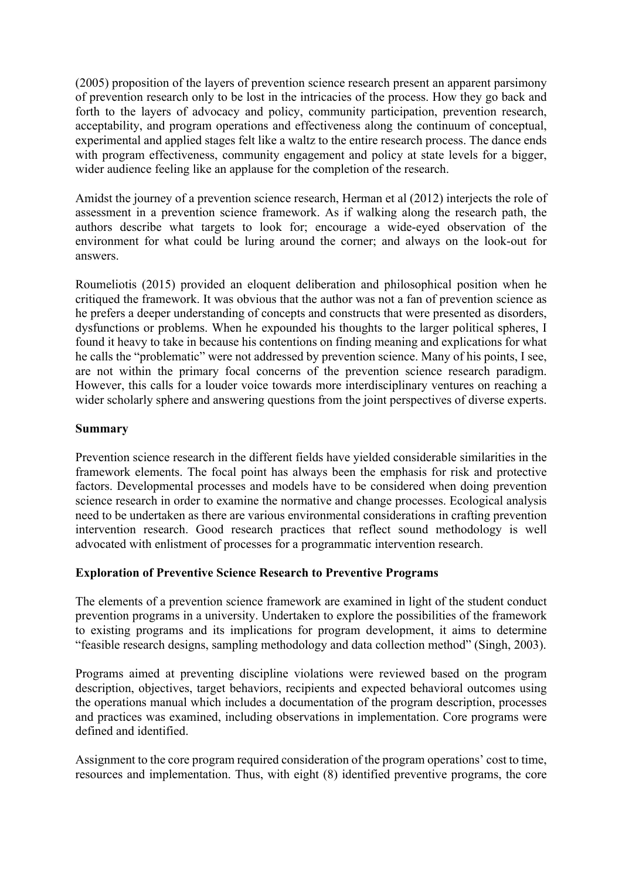(2005) proposition of the layers of prevention science research present an apparent parsimony of prevention research only to be lost in the intricacies of the process. How they go back and forth to the layers of advocacy and policy, community participation, prevention research, acceptability, and program operations and effectiveness along the continuum of conceptual, experimental and applied stages felt like a waltz to the entire research process. The dance ends with program effectiveness, community engagement and policy at state levels for a bigger, wider audience feeling like an applause for the completion of the research.

Amidst the journey of a prevention science research, Herman et al (2012) interjects the role of assessment in a prevention science framework. As if walking along the research path, the authors describe what targets to look for; encourage a wide-eyed observation of the environment for what could be luring around the corner; and always on the look-out for answers.

Roumeliotis (2015) provided an eloquent deliberation and philosophical position when he critiqued the framework. It was obvious that the author was not a fan of prevention science as he prefers a deeper understanding of concepts and constructs that were presented as disorders, dysfunctions or problems. When he expounded his thoughts to the larger political spheres, I found it heavy to take in because his contentions on finding meaning and explications for what he calls the "problematic" were not addressed by prevention science. Many of his points, I see, are not within the primary focal concerns of the prevention science research paradigm. However, this calls for a louder voice towards more interdisciplinary ventures on reaching a wider scholarly sphere and answering questions from the joint perspectives of diverse experts.

## **Summary**

Prevention science research in the different fields have yielded considerable similarities in the framework elements. The focal point has always been the emphasis for risk and protective factors. Developmental processes and models have to be considered when doing prevention science research in order to examine the normative and change processes. Ecological analysis need to be undertaken as there are various environmental considerations in crafting prevention intervention research. Good research practices that reflect sound methodology is well advocated with enlistment of processes for a programmatic intervention research.

## **Exploration of Preventive Science Research to Preventive Programs**

The elements of a prevention science framework are examined in light of the student conduct prevention programs in a university. Undertaken to explore the possibilities of the framework to existing programs and its implications for program development, it aims to determine "feasible research designs, sampling methodology and data collection method" (Singh, 2003).

Programs aimed at preventing discipline violations were reviewed based on the program description, objectives, target behaviors, recipients and expected behavioral outcomes using the operations manual which includes a documentation of the program description, processes and practices was examined, including observations in implementation. Core programs were defined and identified.

Assignment to the core program required consideration of the program operations' cost to time, resources and implementation. Thus, with eight (8) identified preventive programs, the core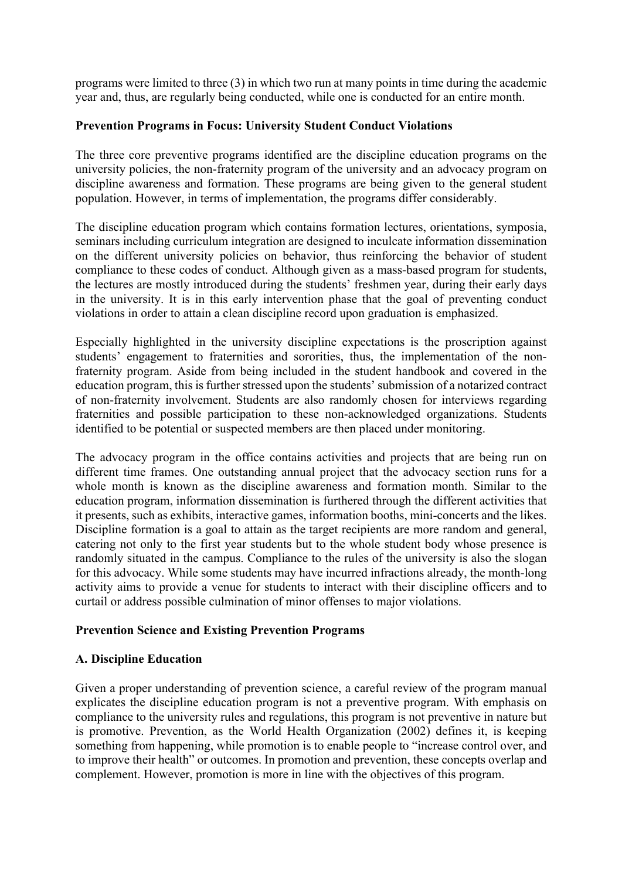programs were limited to three (3) in which two run at many points in time during the academic year and, thus, are regularly being conducted, while one is conducted for an entire month.

#### **Prevention Programs in Focus: University Student Conduct Violations**

The three core preventive programs identified are the discipline education programs on the university policies, the non-fraternity program of the university and an advocacy program on discipline awareness and formation. These programs are being given to the general student population. However, in terms of implementation, the programs differ considerably.

The discipline education program which contains formation lectures, orientations, symposia, seminars including curriculum integration are designed to inculcate information dissemination on the different university policies on behavior, thus reinforcing the behavior of student compliance to these codes of conduct. Although given as a mass-based program for students, the lectures are mostly introduced during the students' freshmen year, during their early days in the university. It is in this early intervention phase that the goal of preventing conduct violations in order to attain a clean discipline record upon graduation is emphasized.

Especially highlighted in the university discipline expectations is the proscription against students' engagement to fraternities and sororities, thus, the implementation of the nonfraternity program. Aside from being included in the student handbook and covered in the education program, this is further stressed upon the students' submission of a notarized contract of non-fraternity involvement. Students are also randomly chosen for interviews regarding fraternities and possible participation to these non-acknowledged organizations. Students identified to be potential or suspected members are then placed under monitoring.

The advocacy program in the office contains activities and projects that are being run on different time frames. One outstanding annual project that the advocacy section runs for a whole month is known as the discipline awareness and formation month. Similar to the education program, information dissemination is furthered through the different activities that it presents, such as exhibits, interactive games, information booths, mini-concerts and the likes. Discipline formation is a goal to attain as the target recipients are more random and general, catering not only to the first year students but to the whole student body whose presence is randomly situated in the campus. Compliance to the rules of the university is also the slogan for this advocacy. While some students may have incurred infractions already, the month-long activity aims to provide a venue for students to interact with their discipline officers and to curtail or address possible culmination of minor offenses to major violations.

## **Prevention Science and Existing Prevention Programs**

#### **A. Discipline Education**

Given a proper understanding of prevention science, a careful review of the program manual explicates the discipline education program is not a preventive program. With emphasis on compliance to the university rules and regulations, this program is not preventive in nature but is promotive. Prevention, as the World Health Organization (2002) defines it, is keeping something from happening, while promotion is to enable people to "increase control over, and to improve their health" or outcomes. In promotion and prevention, these concepts overlap and complement. However, promotion is more in line with the objectives of this program.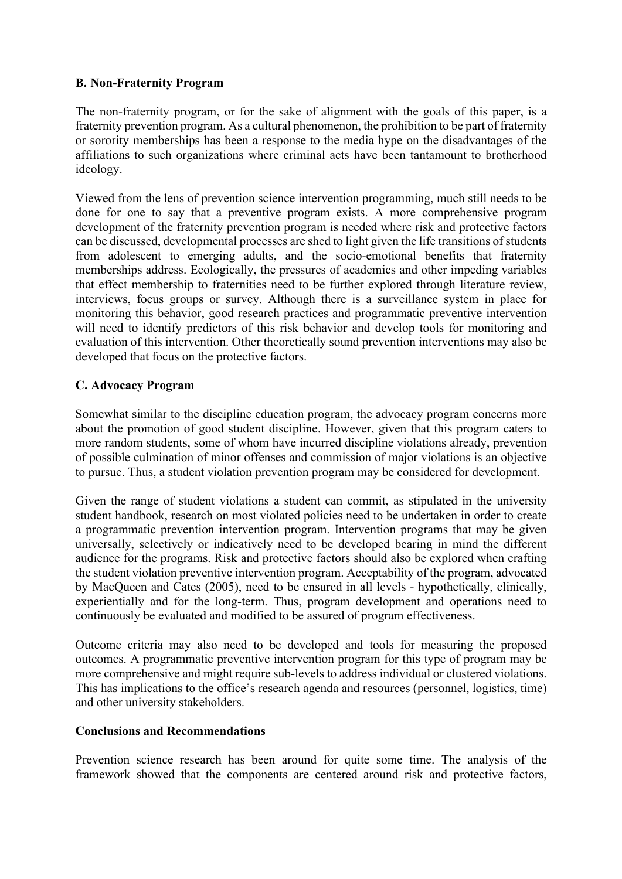## **B. Non-Fraternity Program**

The non-fraternity program, or for the sake of alignment with the goals of this paper, is a fraternity prevention program. As a cultural phenomenon, the prohibition to be part of fraternity or sorority memberships has been a response to the media hype on the disadvantages of the affiliations to such organizations where criminal acts have been tantamount to brotherhood ideology.

Viewed from the lens of prevention science intervention programming, much still needs to be done for one to say that a preventive program exists. A more comprehensive program development of the fraternity prevention program is needed where risk and protective factors can be discussed, developmental processes are shed to light given the life transitions of students from adolescent to emerging adults, and the socio-emotional benefits that fraternity memberships address. Ecologically, the pressures of academics and other impeding variables that effect membership to fraternities need to be further explored through literature review, interviews, focus groups or survey. Although there is a surveillance system in place for monitoring this behavior, good research practices and programmatic preventive intervention will need to identify predictors of this risk behavior and develop tools for monitoring and evaluation of this intervention. Other theoretically sound prevention interventions may also be developed that focus on the protective factors.

## **C. Advocacy Program**

Somewhat similar to the discipline education program, the advocacy program concerns more about the promotion of good student discipline. However, given that this program caters to more random students, some of whom have incurred discipline violations already, prevention of possible culmination of minor offenses and commission of major violations is an objective to pursue. Thus, a student violation prevention program may be considered for development.

Given the range of student violations a student can commit, as stipulated in the university student handbook, research on most violated policies need to be undertaken in order to create a programmatic prevention intervention program. Intervention programs that may be given universally, selectively or indicatively need to be developed bearing in mind the different audience for the programs. Risk and protective factors should also be explored when crafting the student violation preventive intervention program. Acceptability of the program, advocated by MacQueen and Cates (2005), need to be ensured in all levels - hypothetically, clinically, experientially and for the long-term. Thus, program development and operations need to continuously be evaluated and modified to be assured of program effectiveness.

Outcome criteria may also need to be developed and tools for measuring the proposed outcomes. A programmatic preventive intervention program for this type of program may be more comprehensive and might require sub-levels to address individual or clustered violations. This has implications to the office's research agenda and resources (personnel, logistics, time) and other university stakeholders.

## **Conclusions and Recommendations**

Prevention science research has been around for quite some time. The analysis of the framework showed that the components are centered around risk and protective factors,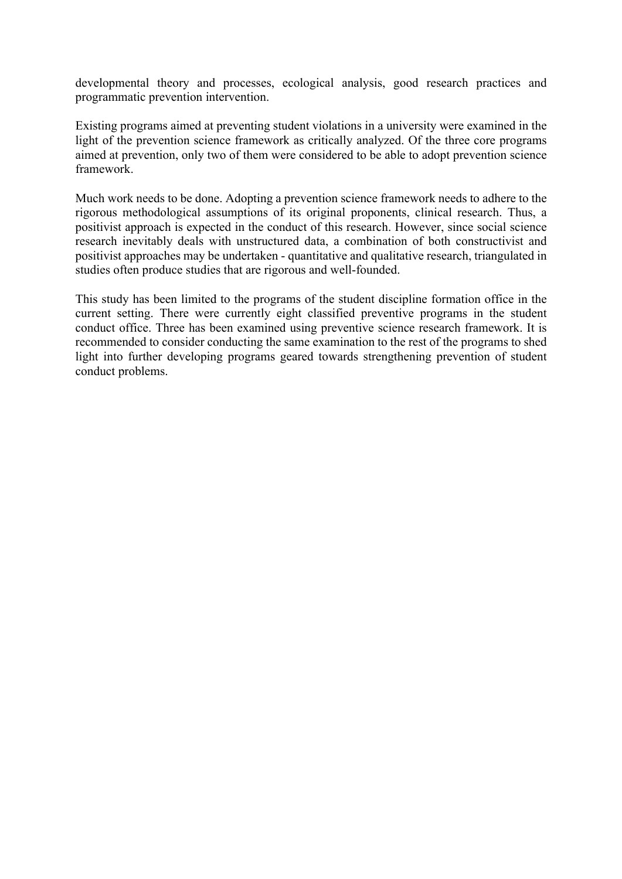developmental theory and processes, ecological analysis, good research practices and programmatic prevention intervention.

Existing programs aimed at preventing student violations in a university were examined in the light of the prevention science framework as critically analyzed. Of the three core programs aimed at prevention, only two of them were considered to be able to adopt prevention science framework.

Much work needs to be done. Adopting a prevention science framework needs to adhere to the rigorous methodological assumptions of its original proponents, clinical research. Thus, a positivist approach is expected in the conduct of this research. However, since social science research inevitably deals with unstructured data, a combination of both constructivist and positivist approaches may be undertaken - quantitative and qualitative research, triangulated in studies often produce studies that are rigorous and well-founded.

This study has been limited to the programs of the student discipline formation office in the current setting. There were currently eight classified preventive programs in the student conduct office. Three has been examined using preventive science research framework. It is recommended to consider conducting the same examination to the rest of the programs to shed light into further developing programs geared towards strengthening prevention of student conduct problems.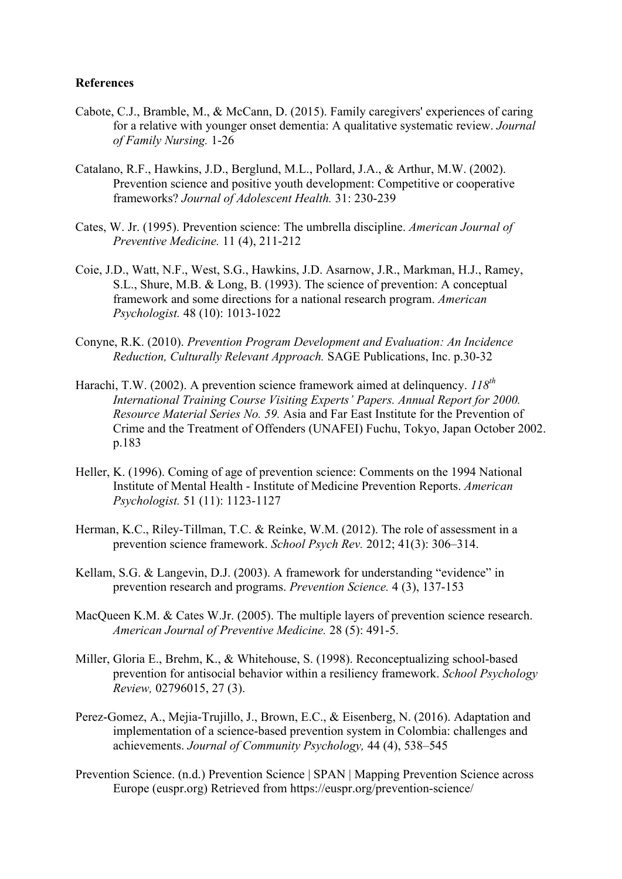#### **References**

- Cabote, C.J., Bramble, M., & McCann, D. (2015). Family caregivers' experiences of caring for a relative with younger onset dementia: A qualitative systematic review. *Journal of Family Nursing.* 1-26
- Catalano, R.F., Hawkins, J.D., Berglund, M.L., Pollard, J.A., & Arthur, M.W. (2002). Prevention science and positive youth development: Competitive or cooperative frameworks? *Journal of Adolescent Health.* 31: 230-239
- Cates, W. Jr. (1995). Prevention science: The umbrella discipline. *American Journal of Preventive Medicine.* 11 (4), 211-212
- Coie, J.D., Watt, N.F., West, S.G., Hawkins, J.D. Asarnow, J.R., Markman, H.J., Ramey, S.L., Shure, M.B. & Long, B. (1993). The science of prevention: A conceptual framework and some directions for a national research program. *American Psychologist.* 48 (10): 1013-1022
- Conyne, R.K. (2010). *Prevention Program Development and Evaluation: An Incidence Reduction, Culturally Relevant Approach.* SAGE Publications, Inc. p.30-32
- Harachi, T.W. (2002). A prevention science framework aimed at delinquency.  $118^{th}$ *International Training Course Visiting Experts' Papers. Annual Report for 2000. Resource Material Series No. 59.* Asia and Far East Institute for the Prevention of Crime and the Treatment of Offenders (UNAFEI) Fuchu, Tokyo, Japan October 2002. p.183
- Heller, K. (1996). Coming of age of prevention science: Comments on the 1994 National Institute of Mental Health - Institute of Medicine Prevention Reports. *American Psychologist.* 51 (11): 1123-1127
- Herman, K.C., Riley-Tillman, T.C. & Reinke, W.M. (2012). The role of assessment in a prevention science framework. *School Psych Rev.* 2012; 41(3): 306–314.
- Kellam, S.G. & Langevin, D.J. (2003). A framework for understanding "evidence" in prevention research and programs. *Prevention Science.* 4 (3), 137-153
- MacQueen K.M. & Cates W.Jr. (2005). The multiple layers of prevention science research. *American Journal of Preventive Medicine.* 28 (5): 491-5.
- Miller, Gloria E., Brehm, K., & Whitehouse, S. (1998). Reconceptualizing school-based prevention for antisocial behavior within a resiliency framework. *School Psychology Review,* 02796015, 27 (3).
- Perez-Gomez, A., Mejia-Trujillo, J., Brown, E.C., & Eisenberg, N. (2016). Adaptation and implementation of a science-based prevention system in Colombia: challenges and achievements. *Journal of Community Psychology,* 44 (4), 538–545
- Prevention Science. (n.d.) Prevention Science | SPAN | Mapping Prevention Science across Europe (euspr.org) Retrieved from https://euspr.org/prevention-science/